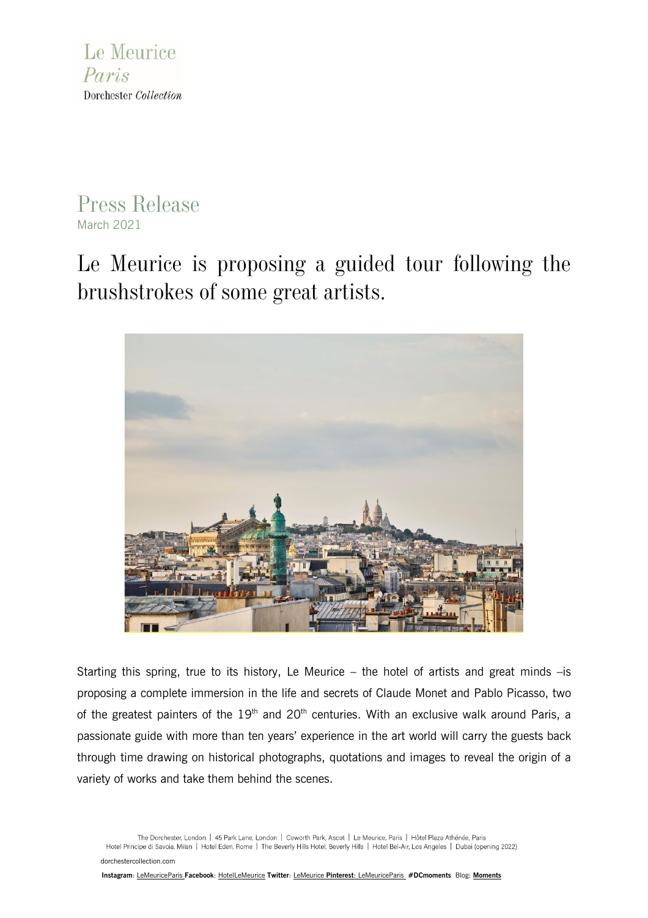

## Press Release March 2021

Le Meurice is proposing a guided tour following the brushstrokes of some great artists.



Starting this spring, true to its history, Le Meurice – the hotel of artists and great minds –is proposing a complete immersion in the life and secrets of Claude Monet and Pablo Picasso, two of the greatest painters of the  $19<sup>th</sup>$  and  $20<sup>th</sup>$  centuries. With an exclusive walk around Paris, a passionate guide with more than ten years' experience in the art world will carry the guests back through time drawing on historical photographs, quotations and images to reveal the origin of a variety of works and take them behind the scenes.

The Dorchester, London | 45 Park Lane, London | Coworth Park, Ascot | Le Meurice, Paris | Hôtel Plaza Athénée, Paris Hotel Principe di Savoia, Milan | Hotel Eden, Rome | The Beverly Hills Hotel, Beverly Hills | Hotel Bel-Air, Los Angeles | Dubai (opening 2022) [dorchestercollection.com](http://www.dorchestercollection.com/)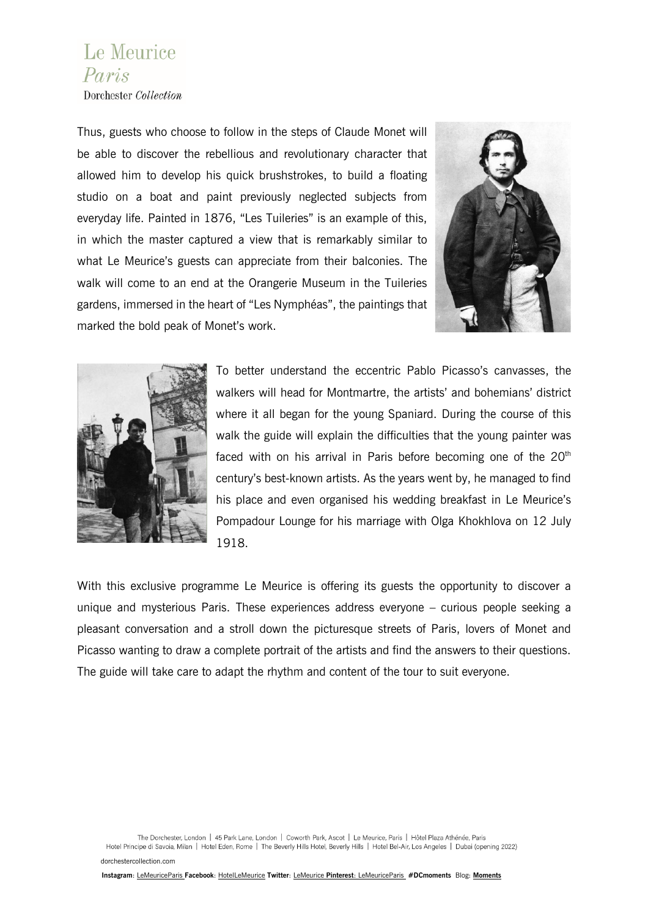## Le Meurice Paris

Dorchester Collection

Thus, guests who choose to follow in the steps of Claude Monet will be able to discover the rebellious and revolutionary character that allowed him to develop his quick brushstrokes, to build a floating studio on a boat and paint previously neglected subjects from everyday life. Painted in 1876, "Les Tuileries" is an example of this, in which the master captured a view that is remarkably similar to what Le Meurice's guests can appreciate from their balconies. The walk will come to an end at the Orangerie Museum in the Tuileries gardens, immersed in the heart of "Les Nymphéas", the paintings that marked the bold peak of Monet's work.





To better understand the eccentric Pablo Picasso's canvasses, the walkers will head for Montmartre, the artists' and bohemians' district where it all began for the young Spaniard. During the course of this walk the guide will explain the difficulties that the young painter was faced with on his arrival in Paris before becoming one of the  $20<sup>th</sup>$ century's best-known artists. As the years went by, he managed to find his place and even organised his wedding breakfast in Le Meurice's Pompadour Lounge for his marriage with Olga Khokhlova on 12 July 1918.

With this exclusive programme Le Meurice is offering its guests the opportunity to discover a unique and mysterious Paris. These experiences address everyone – curious people seeking a pleasant conversation and a stroll down the picturesque streets of Paris, lovers of Monet and Picasso wanting to draw a complete portrait of the artists and find the answers to their questions. The guide will take care to adapt the rhythm and content of the tour to suit everyone.

The Dorchester, London | 45 Park Lane, London | Coworth Park, Ascot | Le Meurice, Paris | Hôtel Plaza Athénée, Paris Hotel Principe di Savoia, Milan | Hotel Eden, Rome | The Beverly Hills Hotel, Beverly Hills | Hotel Bel-Air, Los Angeles | Dubai (opening 2022) [dorchestercollection.com](http://www.dorchestercollection.com/)